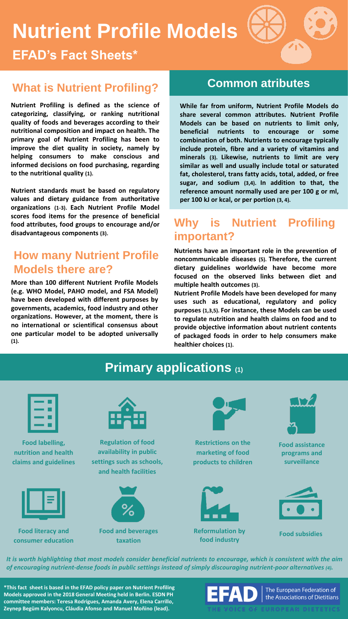# **Nutrient Profile Models**

**EFAD's Fact Sheets\***

# **What is Nutrient Profiling? Common atributes**

**Nutrient Profiling is defined as the science of categorizing, classifying, or ranking nutritional quality of foods and beverages according to their nutritional composition and impact on health. The primary goal of Nutrient Profiling has been to improve the diet quality in society, namely by helping consumers to make conscious and informed decisions on food purchasing, regarding to the nutritional quality (1).**

**Nutrient standards must be based on regulatory values and dietary guidance from authoritative organizations (1-3). Each Nutrient Profile Model scores food items for the presence of beneficial food attributes, food groups to encourage and/or disadvantageous components (3).**

### **How many Nutrient Profile Models there are?**

**More than 100 different Nutrient Profile Models (e.g. WHO Model, PAHO model, and FSA Model) have been developed with different purposes by governments, academics, food industry and other organizations. However, at the moment, there is no international or scientifical consensus about one particular model to be adopted universally (1).**

**While far from uniform, Nutrient Profile Models do share several common attributes. Nutrient Profile Models can be based on nutrients to limit only, beneficial nutrients to encourage or some combination of both. Nutrients to encourage typically include protein, fibre and a variety of vitamins and minerals (3). Likewise, nutrients to limit are very similar as well and usually include total or saturated fat, cholesterol, trans fatty acids, total, added, or free sugar, and sodium (3,4). In addition to that, the reference amount normally used are per 100 g or ml, per 100 kJ or kcal, or per portion (3, 4).**

### **Why is Nutrient Profiling important?**

**Nutrients have an important role in the prevention of noncommunicable diseases (5). Therefore, the current dietary guidelines worldwide have become more focused on the observed links between diet and multiple health outcomes (3).**

**Nutrient Profile Models have been developed for many uses such as educational, regulatory and policy purposes (1,3,5). For instance, these Models can be used to regulate nutrition and health claims on food and to provide objective information about nutrient contents of packaged foods in order to help consumers make healthier choices (1).**



It is worth highlighting that most models consider beneficial nutrients to encourage, which is consistent with the aim *of encouraging nutrient-dense foods in public settings instead of simply discouraging nutrient-poor alternatives (4).*

**\*This fact sheet is based in the EFAD policy paper on Nutrient Profiling Models approved in the 2018 General Meeting held in Berlin. ESDN PH committee members: Teresa Rodrigues, Amanda Avery, Elena Carrillo, Zeynep Begüm Kalyoncu, Cláudia Afonso and Manuel Moñino (lead).** 

EFAD

The European Federation of the Associations of Dietitians